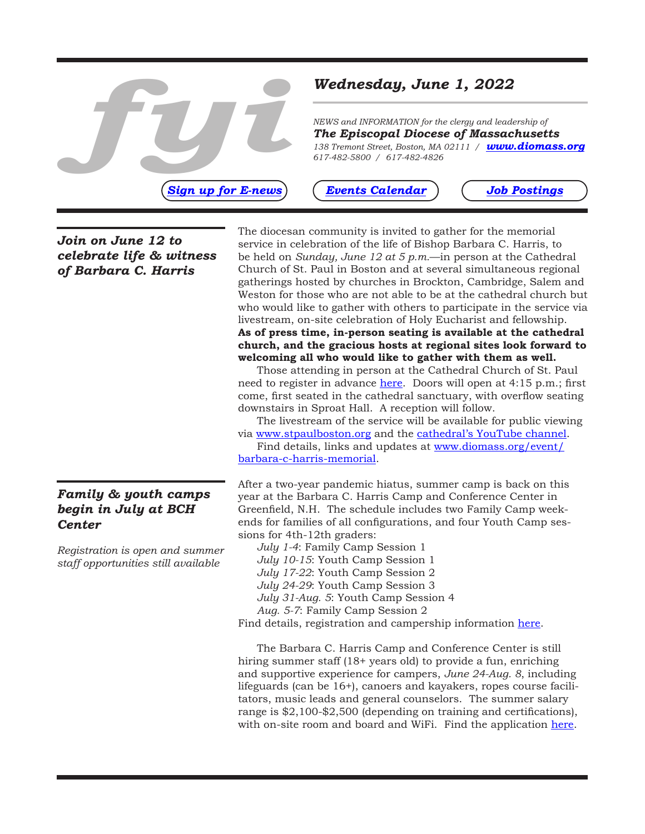

*NEWS and INFORMATION for the clergy and leadership of The Episcopal Diocese of Massachusetts 138 Tremont Street, Boston, MA 02111 / [www.diomass.org](http://www.diomass.org) 617-482-5800 / 617-482-4826* 

*[Sign up for E-news](https://www.diomass.org/subscribe-e-news) (Events Calendar) ([Job Postings](https://www.diomass.org/resources/employment)* 

### *[Events Calendar](https://www.diomass.org/events)*

*Join on June 12 to celebrate life & witness of Barbara C. Harris*

# *Family & youth camps begin in July at BCH Center*

*Registration is open and summer staff opportunities still available* 

The diocesan community is invited to gather for the memorial service in celebration of the life of Bishop Barbara C. Harris, to be held on *Sunday, June 12 at 5 p.m.*—in person at the Cathedral Church of St. Paul in Boston and at several simultaneous regional gatherings hosted by churches in Brockton, Cambridge, Salem and Weston for those who are not able to be at the cathedral church but who would like to gather with others to participate in the service via livestream, on-site celebration of Holy Eucharist and fellowship. **As of press time, in-person seating is available at the cathedral church, and the gracious hosts at regional sites look forward to welcoming all who would like to gather with them as well.** 

Those attending in person at the Cathedral Church of St. Paul need to register in advance [here](https://events.r20.constantcontact.com/register/eventReg?oeidk=a07ej6m4uv387350dbe&oseq=&c=&ch). Doors will open at 4:15 p.m.; first come, first seated in the cathedral sanctuary, with overflow seating downstairs in Sproat Hall. A reception will follow.

The livestream of the service will be available for public viewing via [www.stpaulboston.org](https://www.stpaulboston.org/) and the [cathedral's YouTube channel](https://www.youtube.com/channel/UCMmyBqxnq1nJhCIM-_KXZHw).

Find details, links and updates at [www.diomass.org/event/](https://www.diomass.org/event/barbara-c-harris-memorial) [barbara-c-harris-memorial.](https://www.diomass.org/event/barbara-c-harris-memorial)

After a two-year pandemic hiatus, summer camp is back on this year at the Barbara C. Harris Camp and Conference Center in Greenfield, N.H. The schedule includes two Family Camp weekends for families of all configurations, and four Youth Camp sessions for 4th-12th graders:

*July 1-4*: Family Camp Session 1 *July 10-15*: Youth Camp Session 1 *July 17-22*: Youth Camp Session 2 *July 24-29*: Youth Camp Session 3 *July 31-Aug. 5*: Youth Camp Session 4 *Aug. 5-7*: Family Camp Session 2 Find details, registration and campership information [here](https://bchcenter.org/bchcamp/).

The Barbara C. Harris Camp and Conference Center is still hiring summer staff (18+ years old) to provide a fun, enriching and supportive experience for campers, *June 24-Aug. 8*, including lifeguards (can be 16+), canoers and kayakers, ropes course facilitators, music leads and general counselors. The summer salary range is \$2,100-\$2,500 (depending on training and certifications), with on-site room and board and WiFi. Find the application [here.](https://bchcenter.org/family-camp-staff/)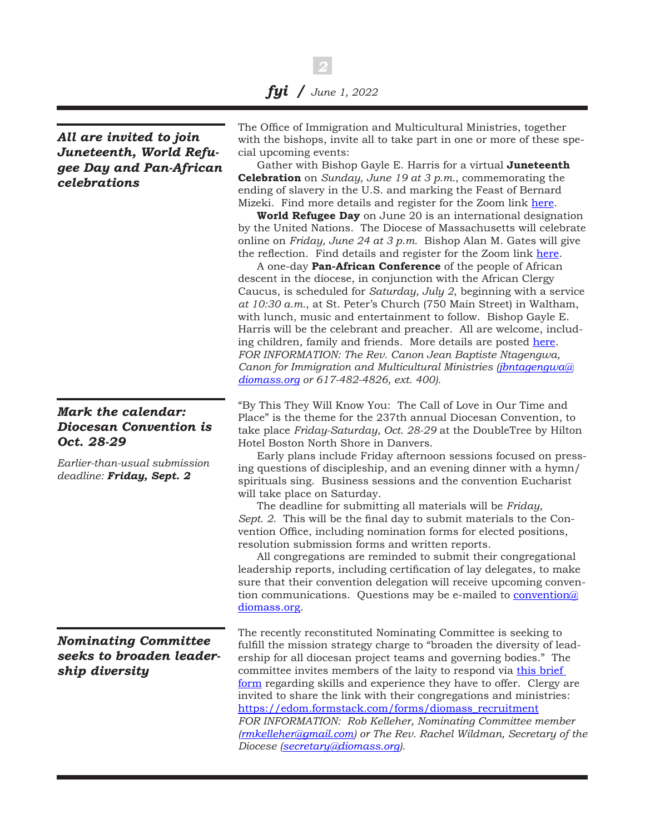*2*

*All are invited to join Juneteenth, World Refugee Day and Pan-African celebrations*

# *Mark the calendar: Diocesan Convention is Oct. 28-29*

*Earlier-than-usual submission deadline: Friday, Sept. 2* 

*Nominating Committee seeks to broaden leadership diversity*

The Office of Immigration and Multicultural Ministries, together with the bishops, invite all to take part in one or more of these special upcoming events:

Gather with Bishop Gayle E. Harris for a virtual **Juneteenth Celebration** on *Sunday, June 19 at 3 p.m.*, commemorating the ending of slavery in the U.S. and marking the Feast of Bernard Mizeki. Find more details and register for the Zoom link [here.](https://www.diomass.org/event/juneteenth-celebration)

**World Refugee Day** on June 20 is an international designation by the United Nations. The Diocese of Massachusetts will celebrate online on *Friday, June 24 at 3 p.m.* Bishop Alan M. Gates will give the reflection. Find details and register for the Zoom link [here.](https://www.diomass.org/event/refugee-day-celebration)

A one-day **Pan-African Conference** of the people of African descent in the diocese, in conjunction with the African Clergy Caucus, is scheduled for *Saturday, July 2*, beginning with a service *at 10:30 a.m.*, at St. Peter's Church (750 Main Street) in Waltham, with lunch, music and entertainment to follow. Bishop Gayle E. Harris will be the celebrant and preacher. All are welcome, including children, family and friends. More details are posted [here](https://www.diomass.org/event/pan-african-conference). *FOR INFORMATION: The Rev. Canon Jean Baptiste Ntagengwa, Canon for Immigration and Multicultural Ministries ([jbntagengwa@](mailto:jbntagengwa%40diomass.org?subject=) [diomass.org](mailto:jbntagengwa%40diomass.org?subject=) or 617-482-4826, ext. 400).*

"By This They Will Know You: The Call of Love in Our Time and Place" is the theme for the 237th annual Diocesan Convention, to take place *Friday-Saturday, Oct. 28-29* at the DoubleTree by Hilton Hotel Boston North Shore in Danvers.

Early plans include Friday afternoon sessions focused on pressing questions of discipleship, and an evening dinner with a hymn/ spirituals sing. Business sessions and the convention Eucharist will take place on Saturday.

The deadline for submitting all materials will be *Friday, Sept. 2*. This will be the final day to submit materials to the Convention Office, including nomination forms for elected positions, resolution submission forms and written reports.

All congregations are reminded to submit their congregational leadership reports, including certification of lay delegates, to make sure that their convention delegation will receive upcoming convention communications. Questions may be e-mailed to **convention**@ [diomass.org.](mailto:convention%40diomass.org?subject=)

The recently reconstituted Nominating Committee is seeking to fulfill the mission strategy charge to "broaden the diversity of leadership for all diocesan project teams and governing bodies." The committee invites members of the laity to respond via this brief [form](https://edom.formstack.com/forms/diomass_recruitment) regarding skills and experience they have to offer. Clergy are invited to share the link with their congregations and ministries: [https://edom.formstack.com/forms/diomass\\_recruitment](https://edom.formstack.com/forms/diomass_recruitment) *FOR INFORMATION: Rob Kelleher, Nominating Committee member ([rmkelleher@gmail.com\)](mailto:rmkelleher%40gmail.com?subject=) or The Rev. Rachel Wildman, Secretary of the Diocese [\(secretary@diomass.org](mailto:secretary%40diomass.org?subject=)).*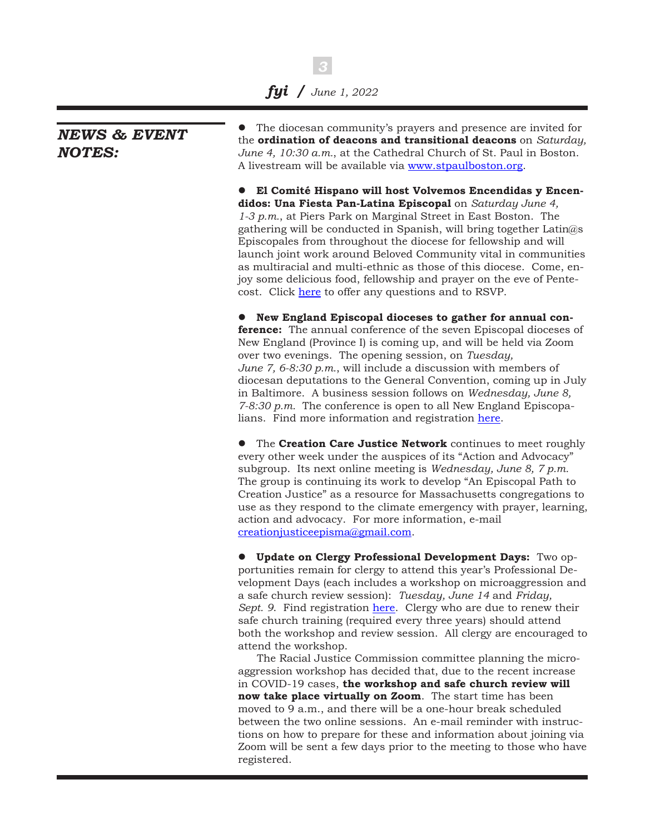*3*

# *NEWS & EVENT NOTES:*

• The diocesan community's prayers and presence are invited for the **ordination of deacons and transitional deacons** on *Saturday, June 4, 10:30 a.m.*, at the Cathedral Church of St. Paul in Boston. A livestream will be available via [www.stpaulboston.org](https://www.stpaulboston.org/).

l **El Comité Hispano will host Volvemos Encendidas y Encendidos: Una Fiesta Pan-Latina Episcopal** on *Saturday June 4, 1-3 p.m.*, at Piers Park on Marginal Street in East Boston. The gathering will be conducted in Spanish, will bring together Latin@s Episcopales from throughout the diocese for fellowship and will launch joint work around Beloved Community vital in communities as multiracial and multi-ethnic as those of this diocese. Come, enjoy some delicious food, fellowship and prayer on the eve of Pentecost. Click [here](https://docs.google.com/forms/d/e/1FAIpQLSct86p2frBCuQ0XL53ykal_CBfrcAzHTETQ1KP154gaWftxqA/viewform) to offer any questions and to RSVP.

**• New England Episcopal dioceses to gather for annual conference:** The annual conference of the seven Episcopal dioceses of New England (Province I) is coming up, and will be held via Zoom over two evenings. The opening session, on *Tuesday, June 7, 6-8:30 p.m.*, will include a discussion with members of diocesan deputations to the General Convention, coming up in July in Baltimore. A business session follows on *Wednesday, June 8, 7-8:30 p.m.* The conference is open to all New England Episcopalians. Find more information and registration [here](https://www.province1.org/conference2022).

**•** The **Creation Care Justice Network** continues to meet roughly every other week under the auspices of its "Action and Advocacy" subgroup. Its next online meeting is *Wednesday, June 8, 7 p.m.* The group is continuing its work to develop "An Episcopal Path to Creation Justice" as a resource for Massachusetts congregations to use as they respond to the climate emergency with prayer, learning, action and advocacy. For more information, e-mail [creationjusticeepisma@gmail.com.](mailto:creationjusticeepisma%40gmail.com?subject=)

**• Update on Clergy Professional Development Days:** Two opportunities remain for clergy to attend this year's Professional Development Days (each includes a workshop on microaggression and a safe church review session): *Tuesday, June 14* and *Friday, Sept.* 9. Find registration [here](http://events.r20.constantcontact.com/register/event?oeidk=a07eiy0f61fac912f42&llr=s4blzzbab). Clergy who are due to renew their safe church training (required every three years) should attend both the workshop and review session. All clergy are encouraged to attend the workshop.

The Racial Justice Commission committee planning the microaggression workshop has decided that, due to the recent increase in COVID-19 cases, **the workshop and safe church review will now take place virtually on Zoom**. The start time has been moved to 9 a.m., and there will be a one-hour break scheduled between the two online sessions. An e-mail reminder with instructions on how to prepare for these and information about joining via Zoom will be sent a few days prior to the meeting to those who have registered.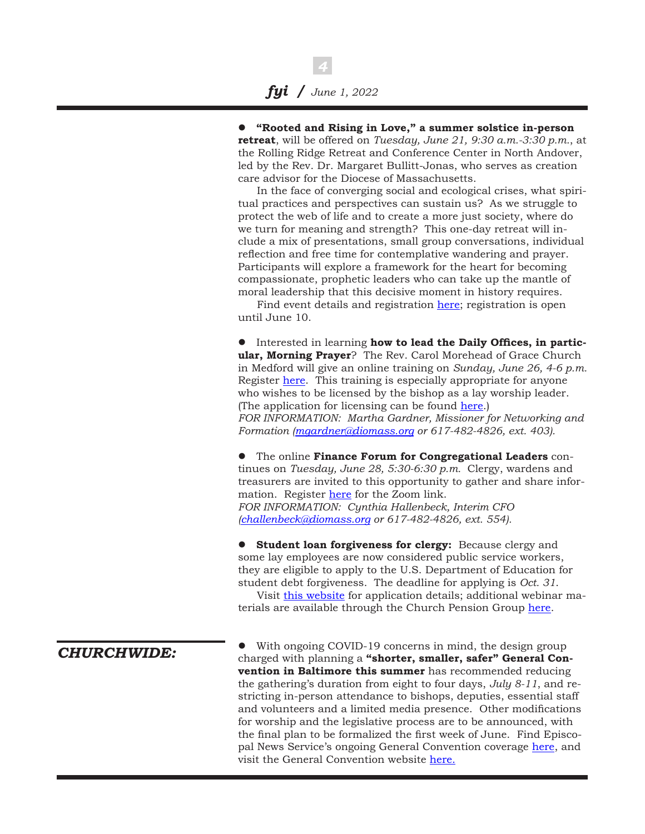*4*

l **"Rooted and Rising in Love," a summer solstice in-person retreat**, will be offered on *Tuesday, June 21, 9:30 a.m.-3:30 p.m.*, at the Rolling Ridge Retreat and Conference Center in North Andover, led by the Rev. Dr. Margaret Bullitt-Jonas, who serves as creation care advisor for the Diocese of Massachusetts.

In the face of converging social and ecological crises, what spiritual practices and perspectives can sustain us? As we struggle to protect the web of life and to create a more just society, where do we turn for meaning and strength? This one-day retreat will include a mix of presentations, small group conversations, individual reflection and free time for contemplative wandering and prayer. Participants will explore a framework for the heart for becoming compassionate, prophetic leaders who can take up the mantle of moral leadership that this decisive moment in history requires.

Find event details and registration [here;](http://events.r20.constantcontact.com/register/event?oeidk=a07ej655d4k1f6bc931&llr=s4blzzbab) registration is open until June 10.

 $\bullet$  Interested in learning how to lead the Daily Offices, in partic**ular, Morning Prayer**? The Rev. Carol Morehead of Grace Church in Medford will give an online training on *Sunday, June 26, 4-6 p.m.* Register [here.](http://events.r20.constantcontact.com/register/event?oeidk=a07ej6ey4kt0f543ef4&llr=s4blzzbab) This training is especially appropriate for anyone who wishes to be licensed by the bishop as a lay worship leader. (The application for licensing can be found [here.](https://www.diomass.org/inside/docs/licensed-lay-ministries)) *FOR INFORMATION: Martha Gardner, Missioner for Networking and Formation [\(mgardner@diomass.org](mailto:mgardner%40diomass.org?subject=) or 617-482-4826, ext. 403).*

**•** The online **Finance Forum for Congregational Leaders** continues on *Tuesday, June 28, 5:30-6:30 p.m.* Clergy, wardens and treasurers are invited to this opportunity to gather and share information. Register [here](https://us06web.zoom.us/meeting/register/tJcrfu6gqj8pHt19EogexOH3IQTVgFD5dBt3) for the Zoom link. *FOR INFORMATION: Cynthia Hallenbeck, Interim CFO ([challenbeck@diomass.org](mailto:challenbeck%40diomass.org?subject=) or 617-482-4826, ext. 554).*

**• Student loan forgiveness for clergy:** Because clergy and some lay employees are now considered public service workers, they are eligible to apply to the U.S. Department of Education for student debt forgiveness. The deadline for applying is *Oct. 31*.

Visit [this website](https://protectborrowers.org/our-projects/pslf/?fbclid=IwAR150iz9Bp3_d7siauoz95og_p9__E4ymoJJVQQDBD1fM2pwjHC3_vrvlww) for application details; additional webinar materials are available through the Church Pension Group [here.](https://www.cpg.org/globalassets/documents/publications/ew-webinar-handouts-final-student-loan-pslf_presentation-april-2022.pdf)

*CHURCHWIDE:*

With ongoing COVID-19 concerns in mind, the design group charged with planning a **"shorter, smaller, safer" General Convention in Baltimore this summer** has recommended reducing the gathering's duration from eight to four days, *July 8-11*, and restricting in-person attendance to bishops, deputies, essential staff and volunteers and a limited media presence. Other modifications for worship and the legislative process are to be announced, with the final plan to be formalized the first week of June. Find Episcopal News Service's ongoing General Convention coverage [here,](https://www.episcopalnewsservice.org/tag/general-convention-2022/) and visit the General Convention website [here.](https://www.generalconvention.org/)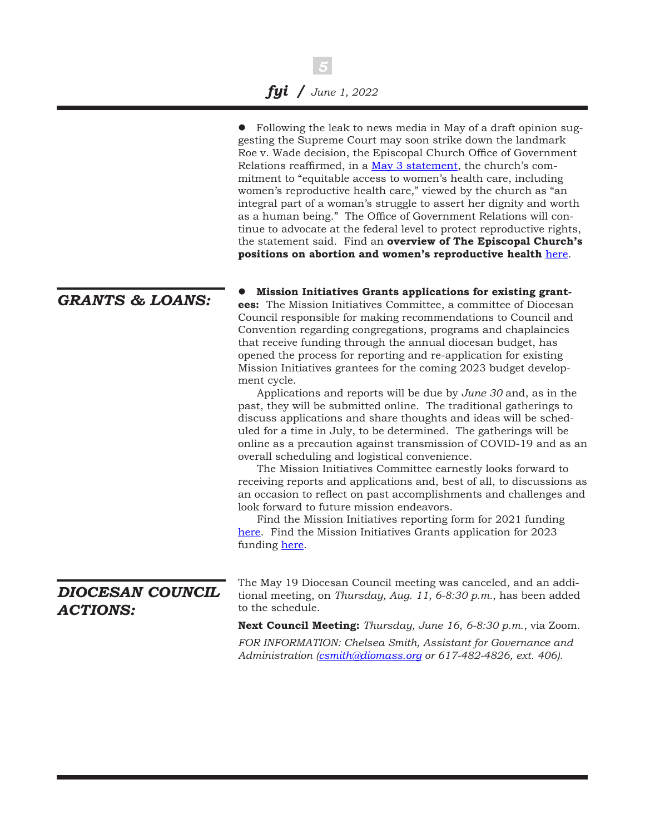|                                     | • Following the leak to news media in May of a draft opinion sug-<br>gesting the Supreme Court may soon strike down the landmark<br>Roe v. Wade decision, the Episcopal Church Office of Government<br>Relations reaffirmed, in a May 3 statement, the church's com-<br>mitment to "equitable access to women's health care, including<br>women's reproductive health care," viewed by the church as "an<br>integral part of a woman's struggle to assert her dignity and worth<br>as a human being." The Office of Government Relations will con-<br>tinue to advocate at the federal level to protect reproductive rights,<br>the statement said. Find an overview of The Episcopal Church's<br>positions on abortion and women's reproductive health here.                                                                                                                                                                                                                                                                                                                                                                                                                                                                                                                                                  |
|-------------------------------------|----------------------------------------------------------------------------------------------------------------------------------------------------------------------------------------------------------------------------------------------------------------------------------------------------------------------------------------------------------------------------------------------------------------------------------------------------------------------------------------------------------------------------------------------------------------------------------------------------------------------------------------------------------------------------------------------------------------------------------------------------------------------------------------------------------------------------------------------------------------------------------------------------------------------------------------------------------------------------------------------------------------------------------------------------------------------------------------------------------------------------------------------------------------------------------------------------------------------------------------------------------------------------------------------------------------|
| <b>GRANTS &amp; LOANS:</b>          | Mission Initiatives Grants applications for existing grant-<br>ees: The Mission Initiatives Committee, a committee of Diocesan<br>Council responsible for making recommendations to Council and<br>Convention regarding congregations, programs and chaplaincies<br>that receive funding through the annual diocesan budget, has<br>opened the process for reporting and re-application for existing<br>Mission Initiatives grantees for the coming 2023 budget develop-<br>ment cycle.<br>Applications and reports will be due by June 30 and, as in the<br>past, they will be submitted online. The traditional gatherings to<br>discuss applications and share thoughts and ideas will be sched-<br>uled for a time in July, to be determined. The gatherings will be<br>online as a precaution against transmission of COVID-19 and as an<br>overall scheduling and logistical convenience.<br>The Mission Initiatives Committee earnestly looks forward to<br>receiving reports and applications and, best of all, to discussions as<br>an occasion to reflect on past accomplishments and challenges and<br>look forward to future mission endeavors.<br>Find the Mission Initiatives reporting form for 2021 funding<br>here. Find the Mission Initiatives Grants application for 2023<br>funding here. |
| DIOCESAN COUNCIL<br><b>ACTIONS:</b> | The May 19 Diocesan Council meeting was canceled, and an addi-<br>tional meeting, on Thursday, Aug. 11, 6-8:30 p.m., has been added<br>to the schedule.<br><b>Next Council Meeting:</b> Thursday, June 16, 6-8:30 p.m., via Zoom.<br>FOR INFORMATION: Chelsea Smith, Assistant for Governance and<br>Administration (csmith@diomass.org or 617-482-4826, ext. 406).                                                                                                                                                                                                                                                                                                                                                                                                                                                                                                                                                                                                                                                                                                                                                                                                                                                                                                                                            |
|                                     |                                                                                                                                                                                                                                                                                                                                                                                                                                                                                                                                                                                                                                                                                                                                                                                                                                                                                                                                                                                                                                                                                                                                                                                                                                                                                                                |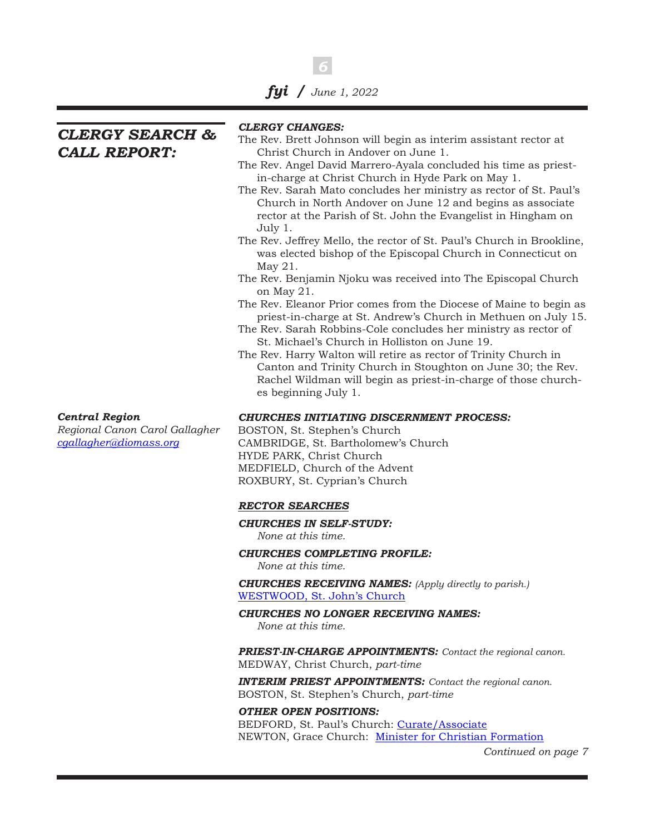*6*

*CLERGY SEARCH & CALL REPORT:* 

#### *CLERGY CHANGES:*

- The Rev. Brett Johnson will begin as interim assistant rector at Christ Church in Andover on June 1.
- The Rev. Angel David Marrero-Ayala concluded his time as priestin-charge at Christ Church in Hyde Park on May 1.
- The Rev. Sarah Mato concludes her ministry as rector of St. Paul's Church in North Andover on June 12 and begins as associate rector at the Parish of St. John the Evangelist in Hingham on July 1.
- The Rev. Jeffrey Mello, the rector of St. Paul's Church in Brookline, was elected bishop of the Episcopal Church in Connecticut on May 21.
- The Rev. Benjamin Njoku was received into The Episcopal Church on May 21.
- The Rev. Eleanor Prior comes from the Diocese of Maine to begin as priest-in-charge at St. Andrew's Church in Methuen on July 15.
- The Rev. Sarah Robbins-Cole concludes her ministry as rector of St. Michael's Church in Holliston on June 19.
- The Rev. Harry Walton will retire as rector of Trinity Church in Canton and Trinity Church in Stoughton on June 30; the Rev. Rachel Wildman will begin as priest-in-charge of those churches beginning July 1.

#### *Central Region*

*Regional Canon Carol Gallagher [cgallagher@diomass.org](mailto:cgallagher%40diomass.org?subject=)*

*CHURCHES INITIATING DISCERNMENT PROCESS:*

BOSTON, St. Stephen's Church CAMBRIDGE, St. Bartholomew's Church HYDE PARK, Christ Church MEDFIELD, Church of the Advent ROXBURY, St. Cyprian's Church

#### *RECTOR SEARCHES*

#### *CHURCHES IN SELF-STUDY: None at this time.*

*CHURCHES COMPLETING PROFILE: None at this time.*

*CHURCHES RECEIVING NAMES: (Apply directly to parish.)* [WESTWOOD, St. John's Church](https://www.diomass.org/sites/diomass/files/2022-04/St.%20John%27s%20Westwood%20Profile%202022.pdf)

*CHURCHES NO LONGER RECEIVING NAMES: None at this time.*

*PRIEST-IN-CHARGE APPOINTMENTS: Contact the regional canon.* MEDWAY, Christ Church, *part-time*

*INTERIM PRIEST APPOINTMENTS: Contact the regional canon.* BOSTON, St. Stephen's Church, *part-time*

*OTHER OPEN POSITIONS:* BEDFORD, St. Paul's Church: [Curate/Associate](https://www.diomass.org/jobs/st-pauls-church-bedford/curateassistant) NEWTON, Grace Church: [Minister for Christian Formation](https://www.diomass.org/jobs/grace-church-newton/minister-christian-formation)

*Continued on page 7*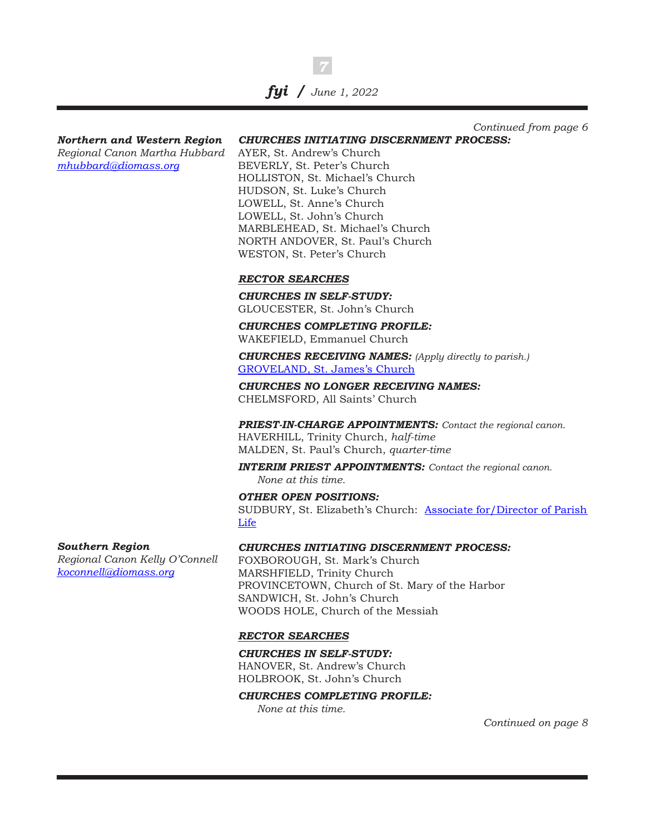*Northern and Western Region Regional Canon Martha Hubbard [mhubbard@diomass.org](mailto:mhubbard%40diomass.org?subject=)*

### *CHURCHES INITIATING DISCERNMENT PROCESS: Continued from page 6*

AYER, St. Andrew's Church BEVERLY, St. Peter's Church HOLLISTON, St. Michael's Church HUDSON, St. Luke's Church LOWELL, St. Anne's Church LOWELL, St. John's Church MARBLEHEAD, St. Michael's Church NORTH ANDOVER, St. Paul's Church WESTON, St. Peter's Church

### *RECTOR SEARCHES*

*CHURCHES IN SELF-STUDY:* GLOUCESTER, St. John's Church

*CHURCHES COMPLETING PROFILE:* WAKEFIELD, Emmanuel Church

*CHURCHES RECEIVING NAMES: (Apply directly to parish.)* [GROVELAND, St. James's Church](https://www.diomass.org/sites/diomass/files/2022-03/St.%20James%27s%20Church%20Groveland%20Profile%202022.pdf)

*CHURCHES NO LONGER RECEIVING NAMES:* CHELMSFORD, All Saints' Church

*PRIEST-IN-CHARGE APPOINTMENTS: Contact the regional canon.*

HAVERHILL, Trinity Church, *half-time* MALDEN, St. Paul's Church, *quarter-time*

*INTERIM PRIEST APPOINTMENTS: Contact the regional canon. None at this time.*

*OTHER OPEN POSITIONS:* SUDBURY, St. Elizabeth's Church: Associate for/Director of Parish [Life](https://www.diomass.org/jobs/st-elizabeths-church-sudbury/associate-fordirector-parish-life)

#### *Southern Region*

*Regional Canon Kelly O'Connell [koconnell@diomass.org](mailto:koconnell%40diomass.org?subject=)*

### *CHURCHES INITIATING DISCERNMENT PROCESS:*

FOXBOROUGH, St. Mark's Church MARSHFIELD, Trinity Church PROVINCETOWN, Church of St. Mary of the Harbor SANDWICH, St. John's Church WOODS HOLE, Church of the Messiah

### *RECTOR SEARCHES*

*CHURCHES IN SELF-STUDY:* HANOVER, St. Andrew's Church HOLBROOK, St. John's Church

*CHURCHES COMPLETING PROFILE:*

*None at this time.*

*Continued on page 8*